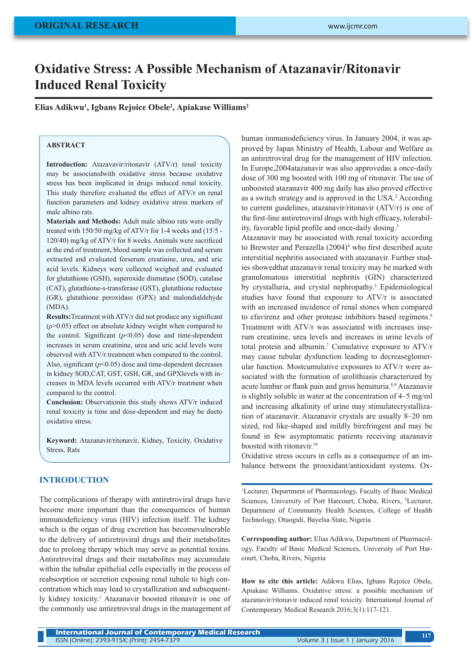# **Oxidative Stress: A Possible Mechanism of Atazanavir/Ritonavir Induced Renal Toxicity**

**Elias Adikwu1 , Igbans Rejoice Obele2 , Apiakase Williams2**

# **ABSTRACT**

**Introduction:** Atazavavir/ritonavir (ATV/r) renal toxicity may be associatedwith oxidative stress because oxidative stress has been implicated in drugs induced renal toxicity. This study therefore evaluated the effect of ATV/r on renal function parameters and kidney oxidative stress markers of male albino rats.

**Materials and Methods:** Adult male albino rats were orally treated with 150/50 mg/kg of ATV/r for 1-4 weeks and (15/5 - 120/40) mg/kg of ATV/r for 8 weeks. Animals were sacrificed at the end of treatment, blood sample was collected and serum extracted and evaluated forserum creatinine, urea, and uric acid levels. Kidneys were collected weighed and evaluated for glutathione (GSH), superoxide dismutase (SOD), catalase (CAT), glutathione-s-transferase (GST), glutathione reductase (GR), glutathione peroxidase (GPX) and malondialdehyde (MDA).

**Results:**Treatment with ATV/r did not produce any significant (*p*>0.05) effect on absolute kidney weight when compared to the control. Significant  $(p<0.05)$  dose and time-dependent increases in serum creatinine, urea and uric acid levels were observed with ATV/r treatment when compared to the control. Also, significant ( $p$ <0.05) dose and time-dependent decreases in kidney SOD,CAT, GST, GSH, GR, and GPXlevels with increases in MDA levels occurred with ATV/r treatment when compared to the control.

**Conclusion:** Observationin this study shows ATV/r induced renal toxicity is time and dose-dependent and may be dueto oxidative stress.

**Keyword:** Atazanavir/ritonavir, Kidney, Toxicity, Oxidative Stress, Rats

#### **INTRODUCTION**

The complications of therapy with antiretroviral drugs have become more important than the consequences of human immunodeficiency virus (HIV) infection itself. The kidney which is the organ of drug excretion has becomevulnerable to the delivery of antiretroviral drugs and their metabolites due to prolong therapy which may serve as potential toxins. Antiretroviral drugs and their metabolites may accumulate within the tubular epithelial cells especially in the process of reabsorption or secretion exposing renal tubule to high concentration which may lead to crystallization and subsequently kidney toxicity.<sup>1</sup> Atazanavir boosted ritonavir is one of the commonly use antiretroviral drugs in the management of human immunodeficiency virus. In January 2004, it was approved by Japan Ministry of Health, Labour and Welfare as an antiretroviral drug for the management of HIV infection. In Europe,2004atazanavir was also approvedas a once-daily dose of 300 mg boosted with 100 mg of ritonavir. The use of unboosted atazanavir 400 mg daily has also proved effective as a switch strategy and is approved in the USA.<sup>2</sup> According to current guidelines, atazanavir/ritonavir (ATV/r) is one of the first-line antiretroviral drugs with high efficacy, tolerability, favorable lipid profile and once-daily dosing.<sup>3</sup>

Atazanavir may be associated with renal toxicity according to Brewster and Perazella  $(2004)^4$  who first described acute interstitial nephritis associated with atazanavir. Further studies showedthat atazanavir renal toxicity may be marked with granulomatous interstitial nephritis (GIN) characterized by crystalluria, and crystal nephropathy.<sup>5</sup> Epidemiological studies have found that exposure to ATV/r is associated with an increased incidence of renal stones when compared to efavirenz and other protease inhibitors based regimens.<sup>6</sup> Treatment with ATV/r was associated with increases inserum creatinine, urea levels and increases in urine levels of total protein and albumin.<sup>7</sup> Cumulative exposure to ATV/r may cause tubular dysfunction leading to decreaseglomerular function. Mostcumulative exposures to ATV/r were associated with the formation of urolithiasis characterized by acute lumbar or flank pain and gross hematuria.8,9 Atazanavir is slightly soluble in water at the concentration of 4–5 mg/ml and increasing alkalinity of urine may stimulatecrystallization of atazanavir. Atazanavir crystals are usually 8–20 nm sized, rod like-shaped and mildly birefringent and may be found in few asymptomatic patients receiving atazanavir boosted with ritonavir.<sup>10</sup>

Oxidative stress occurs in cells as a consequence of an imbalance between the prooxidant/antioxidant systems. Ox-

1 Lecturer, Department of Pharmacology, Faculty of Basic Medical Sciences, University of Port Harcourt, Choba, Rivers, 2 Lecturer, Department of Community Health Sciences, College of Health Technology, Otuogidi, Bayelsa State, Nigeria

**Corresponding author:** Elias Adikwu, Department of Pharmacology, Faculty of Basic Medical Sciences, University of Port Harcourt, Choba, Rivers, Nigeria

**How to cite this article:** Adikwu Elias, Igbans Rejoice Obele, Apiakase Williams. Oxidative stress: a possible mechanism of atazanavir/ritonavir induced renal toxicity. International Journal of Contemporary Medical Research 2016;3(1):117-121.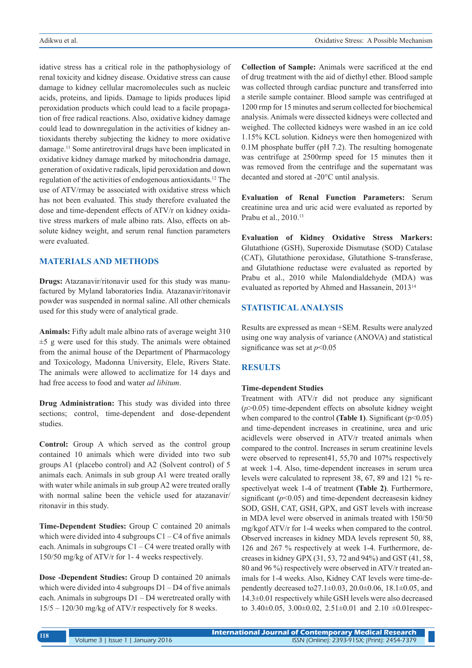idative stress has a critical role in the pathophysiology of renal toxicity and kidney disease. Oxidative stress can cause damage to kidney cellular macromolecules such as nucleic acids, proteins, and lipids. Damage to lipids produces lipid peroxidation products which could lead to a facile propagation of free radical reactions. Also, oxidative kidney damage could lead to downregulation in the activities of kidney antioxidants thereby subjecting the kidney to more oxidative damage.11 Some antiretroviral drugs have been implicated in oxidative kidney damage marked by mitochondria damage, generation of oxidative radicals, lipid peroxidation and down regulation of the activities of endogenous antioxidants.12 The use of ATV/rmay be associated with oxidative stress which has not been evaluated. This study therefore evaluated the dose and time-dependent effects of ATV/r on kidney oxidative stress markers of male albino rats. Also, effects on absolute kidney weight, and serum renal function parameters were evaluated.

# **MATERIALS AND METHODS**

**Drugs:** Atazanavir/ritonavir used for this study was manufactured by Myland laboratories India. Atazanavir/ritonavir powder was suspended in normal saline. All other chemicals used for this study were of analytical grade.

**Animals:** Fifty adult male albino rats of average weight 310  $±5$  g were used for this study. The animals were obtained from the animal house of the Department of Pharmacology and Toxicology, Madonna University, Elele, Rivers State. The animals were allowed to acclimatize for 14 days and had free access to food and water *ad libitum*.

**Drug Administration:** This study was divided into three sections; control, time-dependent and dose-dependent studies.

**Control:** Group A which served as the control group contained 10 animals which were divided into two sub groups A1 (placebo control) and A2 (Solvent control) of 5 animals each. Animals in sub group A1 were treated orally with water while animals in sub group A2 were treated orally with normal saline been the vehicle used for atazanavir/ ritonavir in this study.

**Time-Dependent Studies:** Group C contained 20 animals which were divided into 4 subgroups  $C1 - C4$  of five animals each. Animals in subgroups  $C1 - C4$  were treated orally with 150/50 mg/kg of ATV/r for 1- 4 weeks respectively.

**Dose -Dependent Studies:** Group D contained 20 animals which were divided into 4 subgroups  $D1 - D4$  of five animals each. Animals in subgroups D1 – D4 weretreated orally with 15/5 – 120/30 mg/kg of ATV/r respectively for 8 weeks.

**Collection of Sample:** Animals were sacrificed at the end of drug treatment with the aid of diethyl ether. Blood sample was collected through cardiac puncture and transferred into a sterile sample container. Blood sample was centrifuged at 1200 rmp for 15 minutes and serum collected for biochemical analysis. Animals were dissected kidneys were collected and weighed. The collected kidneys were washed in an ice cold 1.15% KCL solution. Kidneys were then homogenized with 0.1M phosphate buffer (pH 7.2). The resulting homogenate was centrifuge at 2500rmp speed for 15 minutes then it was removed from the centrifuge and the supernatant was decanted and stored at -20°C until analysis.

**Evaluation of Renal Function Parameters:** Serum creatinine urea and uric acid were evaluated as reported by Prabu et al., 2010.13

**Evaluation of Kidney Oxidative Stress Markers:**  Glutathione (GSH), Superoxide Dismutase (SOD) Catalase (CAT), Glutathione peroxidase, Glutathione S-transferase, and Glutathione reductase were evaluated as reported by Prabu et al., 2010 while Malondialdehyde (MDA) was evaluated as reported by Ahmed and Hassanein, 201314

# **STATISTICAL ANALYSIS**

Results are expressed as mean +SEM. Results were analyzed using one way analysis of variance (ANOVA) and statistical significance was set at *p*<0.05

### **RESULTS**

#### **Time-dependent Studies**

Treatment with ATV/r did not produce any significant (*p*>0.05) time-dependent effects on absolute kidney weight when compared to the control **(Table 1)**. Significant ( $p$ <0.05) and time-dependent increases in creatinine, urea and uric acidlevels were observed in ATV/r treated animals when compared to the control. Increases in serum creatinine levels were observed to represent41, 55,70 and 107% respectively at week 1-4. Also, time-dependent increases in serum urea levels were calculated to represent 38, 67, 89 and 121 % respectivelyat week 1-4 of treatment **(Table 2)**. Furthermore, significant  $(p<0.05)$  and time-dependent decreases in kidney SOD, GSH, CAT, GSH, GPX, and GST levels with increase in MDA level were observed in animals treated with 150/50 mg/kgof ATV/r for 1-4 weeks when compared to the control. Observed increases in kidney MDA levels represent 50, 88, 126 and 267 % respectively at week 1-4. Furthermore, decreases in kidney GPX (31, 53, 72 and 94%) and GST (41, 58, 80 and 96 %) respectively were observed in ATV/r treated animals for 1-4 weeks. Also, Kidney CAT levels were time-dependently decreased to  $27.1 \pm 0.03$ ,  $20.0 \pm 0.06$ ,  $18.1 \pm 0.05$ , and 14.3±0.01 respectively while GSH levels were also decreased to 3.40 $\pm$ 0.05, 3.00 $\pm$ 0.02, 2.51 $\pm$ 0.01 and 2.10  $\pm$ 0.01 respec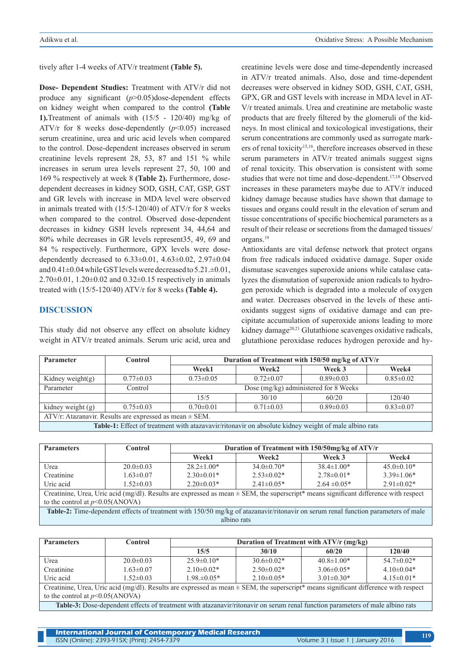tively after 1-4 weeks of ATV/r treatment **(Table 5).**

**Dose- Dependent Studies:** Treatment with ATV/r did not produce any significant (*p*>0.05)dose-dependent effects on kidney weight when compared to the control **(Table 1).**Treatment of animals with (15/5 - 120/40) mg/kg of ATV/r for 8 weeks dose-dependently  $(p<0.05)$  increased serum creatinine, urea and uric acid levels when compared to the control. Dose-dependent increases observed in serum creatinine levels represent 28, 53, 87 and 151 % while increases in serum urea levels represent 27, 50, 100 and 169 % respectively at week 8 **(Table 2).** Furthermore, dosedependent decreases in kidney SOD, GSH, CAT, GSP, GST and GR levels with increase in MDA level were observed in animals treated with (15/5-120/40) of ATV/r for 8 weeks when compared to the control. Observed dose-dependent decreases in kidney GSH levels represent 34, 44,64 and 80% while decreases in GR levels represent35, 49, 69 and 84 % respectively. Furthermore, GPX levels were dosedependently decreased to 6.33±0.01, 4.63±0.02, 2.97±0.04 and 0.41±0.04 while GST levels were decreased to 5.21.±0.01,  $2.70\pm0.01$ ,  $1.20\pm0.02$  and  $0.32\pm0.15$  respectively in animals treated with (15/5-120/40) ATV/r for 8 weeks **(Table 4).**

# **DISCUSSION**

This study did not observe any effect on absolute kidney weight in ATV/r treated animals. Serum uric acid, urea and creatinine levels were dose and time-dependently increased in ATV/r treated animals. Also, dose and time-dependent decreases were observed in kidney SOD, GSH, CAT, GSH, GPX, GR and GST levels with increase in MDA level in AT-V/r treated animals. Urea and creatinine are metabolic waste products that are freely filtered by the glomeruli of the kidneys. In most clinical and toxicological investigations, their serum concentrations are commonly used as surrogate markers of renal toxicity<sup>15,16</sup>, therefore increases observed in these serum parameters in ATV/r treated animals suggest signs of renal toxicity. This observation is consistent with some studies that were not time and dose-dependent.<sup>17,18</sup> Observed increases in these parameters maybe due to ATV/r induced kidney damage because studies have shown that damage to tissues and organs could result in the elevation of serum and tissue concentrations of specific biochemical parameters as a result of their release or secretions from the damaged tissues/ organs.19

Antioxidants are vital defense network that protect organs from free radicals induced oxidative damage. Super oxide dismutase scavenges superoxide anions while catalase catalyzes the dismutation of superoxide anion radicals to hydrogen peroxide which is degraded into a molecule of oxygen and water. Decreases observed in the levels of these antioxidants suggest signs of oxidative damage and can precipitate accumulation of superoxide anions leading to more kidney damage<sup>20,21</sup> Glutathione scavenges oxidative radicals, glutathione peroxidase reduces hydrogen peroxide and hy-

| Parameter                                                                                            | Control         | Duration of Treatment with 150/50 mg/kg of ATV/r |                   |                 |                 |  |
|------------------------------------------------------------------------------------------------------|-----------------|--------------------------------------------------|-------------------|-----------------|-----------------|--|
|                                                                                                      |                 | Week1                                            | Week <sub>2</sub> | Week 3          | Week4           |  |
| Kidney weight $(g)$                                                                                  | $0.77 \pm 0.03$ | $0.73 \pm 0.05$                                  | $0.72 \pm 0.07$   | $0.89 \pm 0.03$ | $0.85 \pm 0.02$ |  |
| Parameter                                                                                            | Control         | Dose (mg/kg) administered for 8 Weeks            |                   |                 |                 |  |
|                                                                                                      |                 | 15/5                                             | 30/10             | 60/20           | 120/40          |  |
| kidney weight (g)                                                                                    | $0.75 \pm 0.03$ | $0.70 \pm 0.01$                                  | $0.71 \pm 0.03$   | $0.89 \pm 0.03$ | $0.83 \pm 0.07$ |  |
| ATV/r: Atazanavir. Results are expressed as mean $\pm$ SEM.                                          |                 |                                                  |                   |                 |                 |  |
| Table-1: Effect of treatment with atazavavir/ritonavir on absolute kidney weight of male albino rats |                 |                                                  |                   |                 |                 |  |

| <b>Parameters</b>                                                                                                                        | Control         | Duration of Treatment with 150/50mg/kg of ATV/r |                  |                  |                  |  |
|------------------------------------------------------------------------------------------------------------------------------------------|-----------------|-------------------------------------------------|------------------|------------------|------------------|--|
|                                                                                                                                          |                 | Week1                                           | Week2            | Week 3           | Week4            |  |
| Urea                                                                                                                                     | $20.0 \pm 0.03$ | $28.2 \pm 1.00*$                                | $34.0\pm0.70*$   | $38.4 \pm 1.00*$ | $45.0 \pm 0.10*$ |  |
| Creatinine                                                                                                                               | $1.63 \pm 0.07$ | $2.30\pm0.01*$                                  | $2.53\pm0.02*$   | $2.78\pm0.01*$   | $3.39 \pm 1.06*$ |  |
| Uric acid                                                                                                                                | $1.52 \pm 0.03$ | $2.20\pm0.03*$                                  | $2.41 \pm 0.05*$ | $2.64 \pm 0.05*$ | $2.91 \pm 0.02*$ |  |
| Creatinine, Urea, Uric acid (mg/dl). Results are expressed as mean $\pm$ SEM, the superscript* means significant difference with respect |                 |                                                 |                  |                  |                  |  |
| to the control at $p<0.05$ (ANOVA)                                                                                                       |                 |                                                 |                  |                  |                  |  |
| Table-2: Time-dependent effects of treatment with 150/50 mg/kg of atazanavir/ritonavir on serum renal function parameters of male        |                 |                                                 |                  |                  |                  |  |
| albino rats                                                                                                                              |                 |                                                 |                  |                  |                  |  |
|                                                                                                                                          |                 |                                                 |                  |                  |                  |  |

| <b>Parameters</b>                                                                                                                                                                                                                                                                                                                                                                                                                                    | Control         | Duration of Treatment with ATV/r (mg/kg) |                  |                  |                |
|------------------------------------------------------------------------------------------------------------------------------------------------------------------------------------------------------------------------------------------------------------------------------------------------------------------------------------------------------------------------------------------------------------------------------------------------------|-----------------|------------------------------------------|------------------|------------------|----------------|
|                                                                                                                                                                                                                                                                                                                                                                                                                                                      |                 | 15/5                                     | 30/10            | 60/20            | 120/40         |
| Urea                                                                                                                                                                                                                                                                                                                                                                                                                                                 | $20.0 \pm 0.03$ | $25.9 \pm 0.10*$                         | $30.6 \pm 0.02*$ | $40.8 \pm 1.00*$ | $54.7\pm0.02*$ |
| Creatinine                                                                                                                                                                                                                                                                                                                                                                                                                                           | $1.63 \pm 0.07$ | $2.10\pm0.02*$                           | $2.50\pm0.02*$   | $3.06 \pm 0.05*$ | $4.10\pm0.04*$ |
| Uric acid                                                                                                                                                                                                                                                                                                                                                                                                                                            | $1.52 \pm 0.03$ | $1.98 \pm 0.05*$                         | $2.10\pm0.05*$   | $3.01 \pm 0.30*$ | $4.15\pm0.01*$ |
| Creatinine, Urea, Uric acid (mg/dl). Results are expressed as mean $\pm$ SEM, the superscript* means significant difference with respect                                                                                                                                                                                                                                                                                                             |                 |                                          |                  |                  |                |
| to the control at $p<0.05$ (ANOVA)                                                                                                                                                                                                                                                                                                                                                                                                                   |                 |                                          |                  |                  |                |
| $\cdots$<br>$\mathbf{r} = \mathbf{r} + \mathbf{r} + \mathbf{r} + \mathbf{r} + \mathbf{r} + \mathbf{r} + \mathbf{r} + \mathbf{r} + \mathbf{r} + \mathbf{r} + \mathbf{r} + \mathbf{r} + \mathbf{r} + \mathbf{r} + \mathbf{r} + \mathbf{r} + \mathbf{r} + \mathbf{r} + \mathbf{r} + \mathbf{r} + \mathbf{r} + \mathbf{r} + \mathbf{r} + \mathbf{r} + \mathbf{r} + \mathbf{r} + \mathbf{r} + \mathbf{r} + \mathbf{r} + \mathbf{r} + \mathbf$<br>$\cdots$ |                 |                                          |                  |                  |                |

**Table-3:** Dose-dependent effects of treatment with atazanavir/ritonavir on serum renal function parameters of male albino rats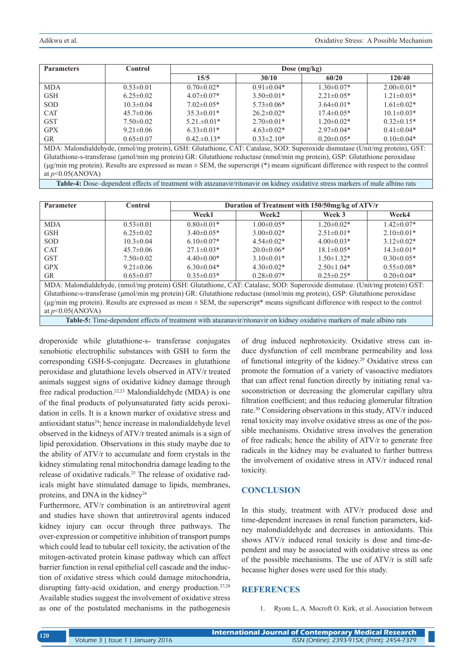| <b>Parameters</b> | Control         | Dose $(mg/kg)$   |                  |                  |                  |
|-------------------|-----------------|------------------|------------------|------------------|------------------|
|                   |                 | 15/5             | 30/10            | 60/20            | 120/40           |
| <b>MDA</b>        | $0.53 \pm 0.01$ | $0.70 \pm 0.02*$ | $0.91 \pm 0.04*$ | $1.30 \pm 0.07*$ | $2.00\pm0.01*$   |
| <b>GSH</b>        | $6.25 \pm 0.02$ | $4.07\pm0.07*$   | $3.50\pm0.01*$   | $2.21 \pm 0.05*$ | $1.21 \pm 0.03*$ |
| <b>SOD</b>        | $10.3 \pm 0.04$ | $7.02\pm0.05*$   | $5.73\pm0.06*$   | $3.64\pm0.01*$   | $1.61 \pm 0.02*$ |
| <b>CAT</b>        | $45.7 \pm 0.06$ | $35.3\pm0.01*$   | $26.2 \pm 0.02*$ | $17.4 \pm 0.05*$ | $10.1 \pm 0.03*$ |
| <b>GST</b>        | $7.50\pm0.02$   | $5.21 \pm 0.01*$ | $2.70\pm0.01*$   | $1.20 \pm 0.02*$ | $0.32\pm0.15*$   |
| <b>GPX</b>        | $9.21 \pm 0.06$ | $6.33\pm0.01*$   | $4.63\pm0.02*$   | $2.97\pm0.04*$   | $0.41 \pm 0.04*$ |
| <b>GR</b>         | $0.65 \pm 0.07$ | $0.42 \pm 0.13*$ | $0.33\pm2.10*$   | $0.20 \pm 0.05*$ | $0.10 \pm 0.04*$ |

MDA: Malondialdehyde, (nmol/mg protein), GSH: Glutathione, CAT: Catalase, SOD: Superoxide dismutase (Unit/mg protein), GST: Glutathione-s-transferase (μmol/min mg protein) GR: Glutathione reductase (nmol/min mg protein), GSP: Glutathione peroxidase (μg/min mg protein). Results are expressed as mean ± SEM, the superscript (\*) means significant difference with respect to the control at *p*<0.05(ANOVA)

**Table-4:** Dose–dependent effects of treatment with atazanavir/ritonavir on kidney oxidative stress markers of male albino rats

| <b>Parameter</b>                                                                                                                              | Control         | Duration of Treatment with 150/50mg/kg of ATV/r |                  |                  |                   |
|-----------------------------------------------------------------------------------------------------------------------------------------------|-----------------|-------------------------------------------------|------------------|------------------|-------------------|
|                                                                                                                                               |                 | Week1                                           | Week2            | Week 3           | Week4             |
| <b>MDA</b>                                                                                                                                    | $0.53 \pm 0.01$ | $0.80 \pm 0.01*$                                | $1.00 \pm 0.05*$ | $1.20 \pm 0.02*$ | $1.42 \pm 0.07*$  |
| <b>GSH</b>                                                                                                                                    | $6.25 \pm 0.02$ | $3.40\pm0.05*$                                  | $3.00 \pm 0.02*$ | $2.51 \pm 0.01*$ | $2.10\pm0.01*$    |
| SOD.                                                                                                                                          | $10.3 \pm 0.04$ | $6.10 \pm 0.07*$                                | $4.54\pm0.02*$   | $4.00 \pm 0.03*$ | $3.12 \pm 0.02^*$ |
| <b>CAT</b>                                                                                                                                    | $45.7 \pm 0.06$ | $27.1 \pm 0.03*$                                | $20.0\pm0.06*$   | $18.1 \pm 0.05*$ | $14.3 \pm 0.01*$  |
| <b>GST</b>                                                                                                                                    | $7.50 \pm 0.02$ | $4.40\pm0.00*$                                  | $3.10\pm0.01*$   | $1.50 \pm 1.32*$ | $0.30 \pm 0.05*$  |
| <b>GPX</b>                                                                                                                                    | $9.21 \pm 0.06$ | $6.30\pm0.04*$                                  | $4.30\pm0.02*$   | $2.50 \pm 1.04*$ | $0.55 \pm 0.08*$  |
| <b>GR</b>                                                                                                                                     | $0.65 \pm 0.07$ | $0.35 \pm 0.03*$                                | $0.28 \pm 0.07*$ | $0.25 \pm 0.25*$ | $0.20 \pm 0.04*$  |
| MDA: Malondialdehyde, (nmol/mg protein) GSH: Glutathione, CAT: Catalase, SOD: Superoxide dismutase. (Unit/mg protein) GST:                    |                 |                                                 |                  |                  |                   |
| Glutathione-s-transferase (µmol/min mg protein) GR: Glutathione reductase (nmol/min mg protein), GSP: Glutathione peroxidase                  |                 |                                                 |                  |                  |                   |
| ( $\mu$ g/min mg protein). Results are expressed as mean $\pm$ SEM, the superscript* means significant difference with respect to the control |                 |                                                 |                  |                  |                   |

at *p*<0.05(ANOVA)

**Table-5:** Time-dependent effects of treatment with atazanavir/ritonavir on kidney oxidative markers of male albino rats

droperoxide while glutathione-s- transferase conjugates xenobiotic electrophilic substances with GSH to form the corresponding GSH-S-conjugate. Decreases in glutathione peroxidase and glutathione levels observed in ATV/r treated animals suggest signs of oxidative kidney damage through free radical production.22,23 Malondialdehyde (MDA) is one of the final products of polyunsaturated fatty acids peroxidation in cells. It is a known marker of oxidative stress and antioxidant status24; hence increase in malondialdehyde level observed in the kidneys of ATV/r treated animals is a sign of lipid peroxidation. Observations in this study maybe due to the ability of ATV/r to accumulate and form crystals in the kidney stimulating renal mitochondria damage leading to the release of oxidative radicals.25 The release of oxidative radicals might have stimulated damage to lipids, membranes, proteins, and DNA in the kidney<sup>26</sup>

Furthermore, ATV/r combination is an antiretroviral agent and studies have shown that antiretroviral agents induced kidney injury can occur through three pathways. The over-expression or competitive inhibition of transport pumps which could lead to tubular cell toxicity, the activation of the mitogen-activated protein kinase pathway which can affect barrier function in renal epithelial cell cascade and the induction of oxidative stress which could damage mitochondria, disrupting fatty-acid oxidation, and energy production.<sup>27,28</sup> Available studies suggest the involvement of oxidative stress as one of the postulated mechanisms in the pathogenesis of drug induced nephrotoxicity. Oxidative stress can induce dysfunction of cell membrane permeability and loss of functional integrity of the kidney.<sup>29</sup> Oxidative stress can promote the formation of a variety of vasoactive mediators that can affect renal function directly by initiating renal vasoconstriction or decreasing the glomerular capillary ultra filtration coefficient; and thus reducing glomerular filtration rate.30 Considering observations in this study, ATV/r induced renal toxicity may involve oxidative stress as one of the possible mechanisms. Oxidative stress involves the generation of free radicals; hence the ability of ATV/r to generate free radicals in the kidney may be evaluated to further buttress the involvement of oxidative stress in ATV/r induced renal toxicity.

# **CONCLUSION**

In this study, treatment with ATV/r produced dose and time-dependent increases in renal function parameters, kidney malondialdehyde and decreases in antioxidants. This shows ATV/r induced renal toxicity is dose and time-dependent and may be associated with oxidative stress as one of the possible mechanisms. The use of ATV/r is still safe because higher doses were used for this study.

#### **REFERENCES**

1. Ryom L, A. Mocroft O. Kirk, et al. Association between